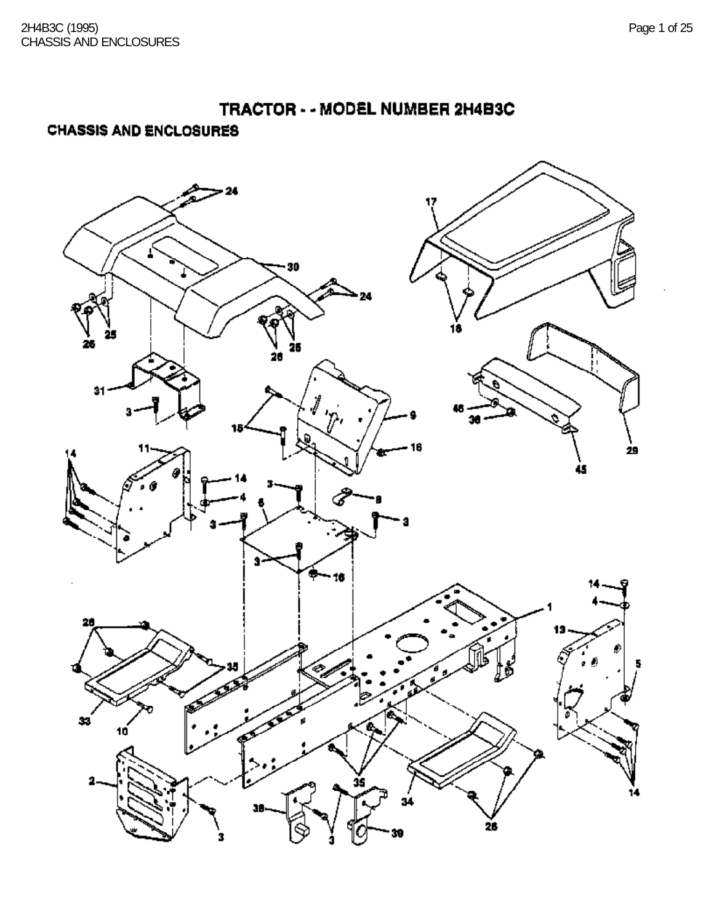### **CHASSIS AND ENCLOSURES**

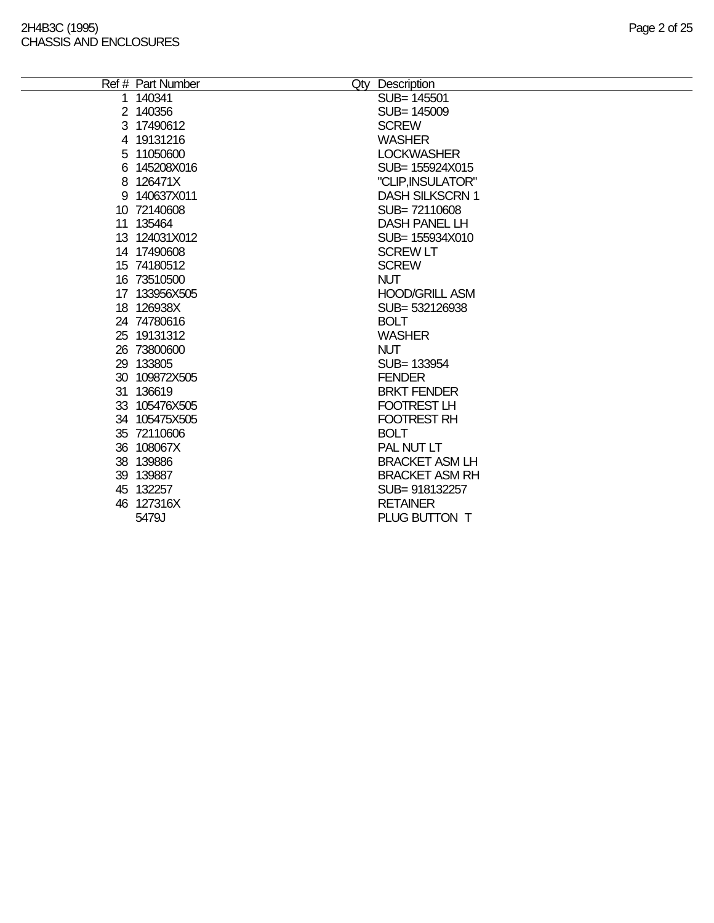#### 2H4B3C (1995) Page 2 of 25 CHASSIS AND ENCLOSURES

| Ref # Part Number | Qty Description        |
|-------------------|------------------------|
| 1 140341          | SUB= 145501            |
| 2 140356          | SUB= 145009            |
| 3 17490612        | <b>SCREW</b>           |
| 4 19131216        | <b>WASHER</b>          |
| 5 11050600        | <b>LOCKWASHER</b>      |
| 6 145208X016      | SUB= 155924X015        |
| 8 126471X         | "CLIP, INSULATOR"      |
| 9 140637X011      | <b>DASH SILKSCRN 1</b> |
| 10 72140608       | SUB=72110608           |
| 11 135464         | <b>DASH PANEL LH</b>   |
| 13 124031X012     | SUB= 155934X010        |
| 14 17490608       | <b>SCREW LT</b>        |
| 15 74180512       | <b>SCREW</b>           |
| 16 73510500       | <b>NUT</b>             |
| 17 133956X505     | <b>HOOD/GRILL ASM</b>  |
| 18 126938X        | SUB=532126938          |
| 24 74780616       | <b>BOLT</b>            |
| 25 19131312       | <b>WASHER</b>          |
| 26 73800600       | <b>NUT</b>             |
| 29 133805         | SUB= 133954            |
| 30 109872X505     | <b>FENDER</b>          |
| 31 136619         | <b>BRKT FENDER</b>     |
| 33 105476X505     | FOOTREST LH            |
| 34 105475X505     | <b>FOOTREST RH</b>     |
| 35 72110606       | <b>BOLT</b>            |
| 36 108067X        | PAL NUT LT             |
| 38 139886         | <b>BRACKET ASM LH</b>  |
| 39 139887         | <b>BRACKET ASM RH</b>  |
| 45 132257         | SUB= 918132257         |
| 46 127316X        | <b>RETAINER</b>        |
| 5479J             | PLUG BUTTON T          |
|                   |                        |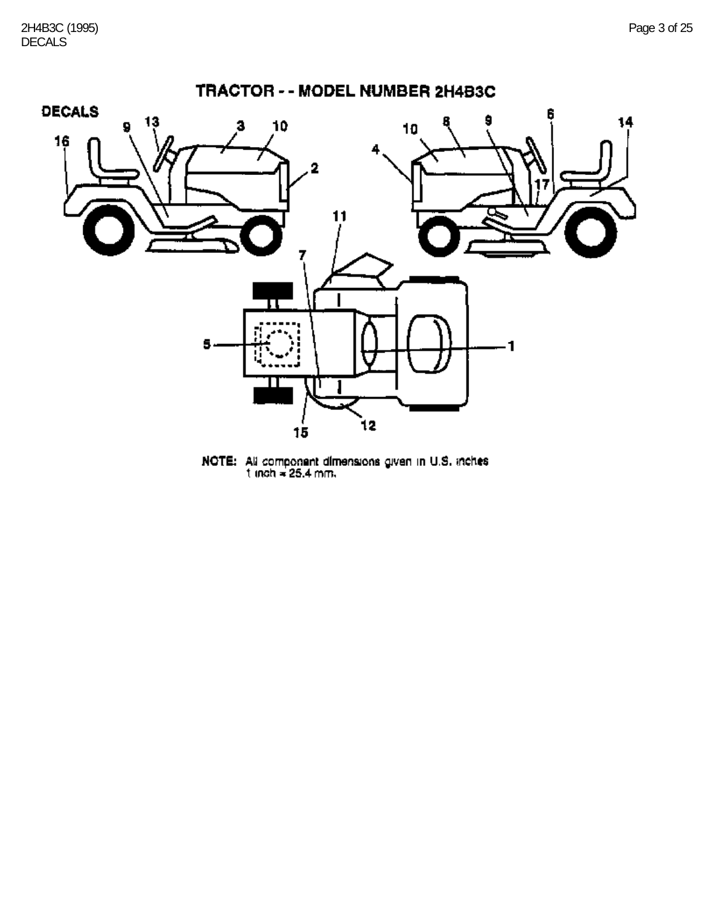

**NOTE:** All component dimensions given in U.S. inches<br>t inch = 25.4 mm.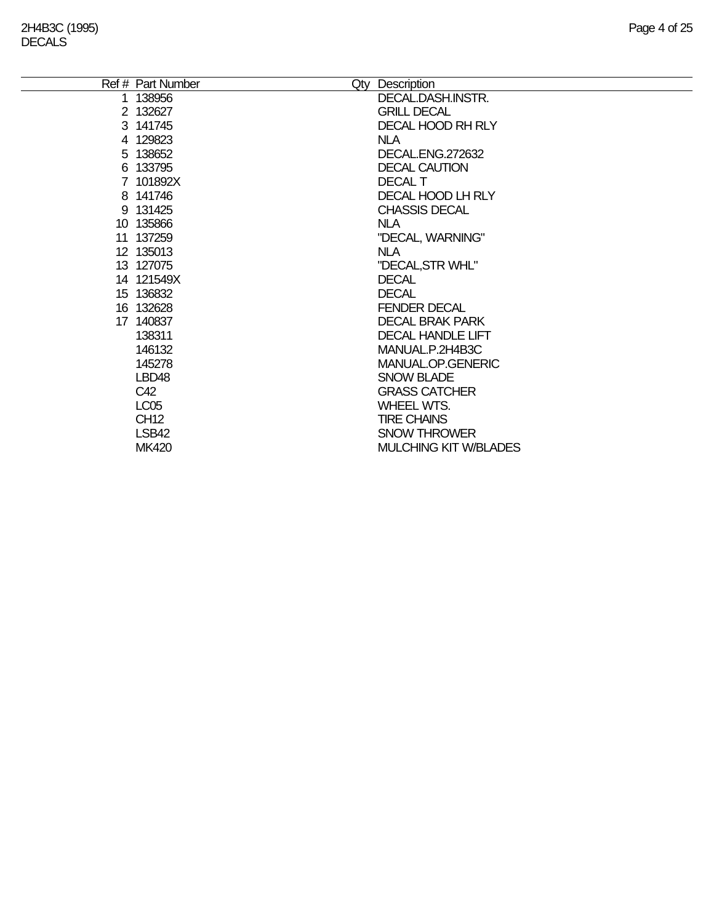| Ref # Part Number | Qty Description              |
|-------------------|------------------------------|
| 1 138956          | DECAL.DASH.INSTR.            |
| 2 132627          | <b>GRILL DECAL</b>           |
| 3 141745          | <b>DECAL HOOD RH RLY</b>     |
| 4 129823          | <b>NLA</b>                   |
| 5 138652          | DECAL.ENG.272632             |
| 6 133795          | <b>DECAL CAUTION</b>         |
| 7 101892X         | <b>DECAL T</b>               |
| 8 141746          | DECAL HOOD LH RLY            |
| 9 131425          | <b>CHASSIS DECAL</b>         |
| 10 135866         | NLA.                         |
| 11 137259         | "DECAL, WARNING"             |
| 12 135013         | <b>NLA</b>                   |
| 13 127075         | "DECAL, STR WHL"             |
| 14 121549X        | <b>DECAL</b>                 |
| 15 136832         | <b>DECAL</b>                 |
| 16 132628         | <b>FENDER DECAL</b>          |
| 17 140837         | <b>DECAL BRAK PARK</b>       |
| 138311            | DECAL HANDLE LIFT            |
| 146132            | MANUAL.P.2H4B3C              |
| 145278            | MANUAL.OP.GENERIC            |
| LBD48             | <b>SNOW BLADE</b>            |
| C42               | <b>GRASS CATCHER</b>         |
| <b>LC05</b>       | WHEEL WTS.                   |
| <b>CH12</b>       | <b>TIRE CHAINS</b>           |
| LSB42             | <b>SNOW THROWER</b>          |
| <b>MK420</b>      | <b>MULCHING KIT W/BLADES</b> |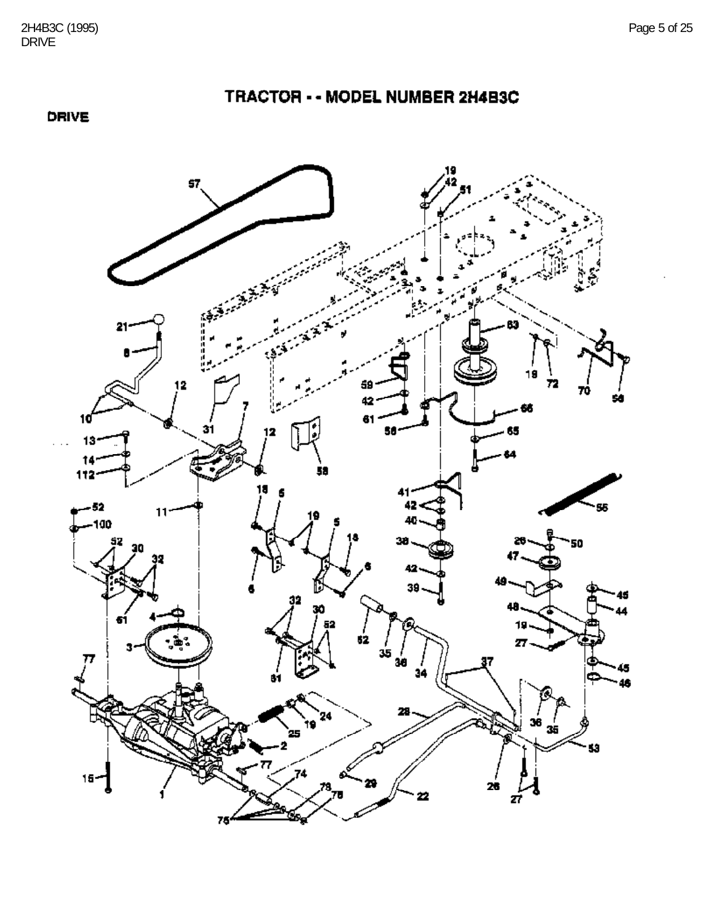DRIVE



TRACTOR - - MODEL NUMBER 2H4B3C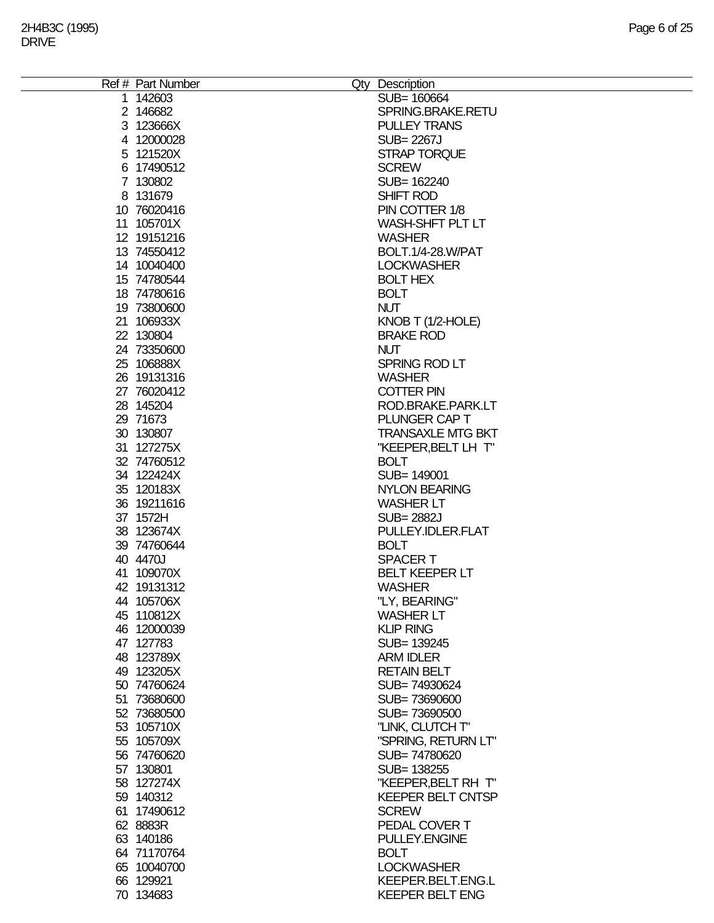| Ref # Part Number | Qty Description          |
|-------------------|--------------------------|
| 1 142603          | SUB= 160664              |
| 2 146682          | SPRING.BRAKE.RETU        |
|                   |                          |
| 3 123666X         | <b>PULLEY TRANS</b>      |
| 4 12000028        | <b>SUB=2267J</b>         |
| 5 121520X         | <b>STRAP TORQUE</b>      |
| 6 17490512        | <b>SCREW</b>             |
| 7 130802          | SUB= 162240              |
| 8 131679          | SHIFT ROD                |
|                   |                          |
| 10 76020416       | PIN COTTER 1/8           |
| 11 105701X        | <b>WASH-SHFT PLT LT</b>  |
| 12 19151216       | <b>WASHER</b>            |
| 13 74550412       | BOLT.1/4-28.W/PAT        |
| 14 10040400       | <b>LOCKWASHER</b>        |
| 15 74780544       | <b>BOLT HEX</b>          |
|                   |                          |
| 18 74780616       | <b>BOLT</b>              |
| 19 73800600       | <b>NUT</b>               |
| 21 106933X        | KNOB T (1/2-HOLE)        |
| 22 130804         | <b>BRAKE ROD</b>         |
| 24 73350600       | <b>NUT</b>               |
| 25 106888X        | SPRING ROD LT            |
| 26 19131316       |                          |
|                   | <b>WASHER</b>            |
| 27 76020412       | <b>COTTER PIN</b>        |
| 28 145204         | ROD.BRAKE.PARK.LT        |
| 29 71673          | PLUNGER CAP T            |
| 30 130807         | <b>TRANSAXLE MTG BKT</b> |
| 31 127275X        | "KEEPER, BELT LH T"      |
| 32 74760512       | <b>BOLT</b>              |
|                   |                          |
| 34 122424X        | SUB= 149001              |
| 35 120183X        | <b>NYLON BEARING</b>     |
| 36 19211616       | <b>WASHER LT</b>         |
| 37 1572H          | <b>SUB=2882J</b>         |
| 38 123674X        | PULLEY.IDLER.FLAT        |
| 39 74760644       | <b>BOLT</b>              |
|                   |                          |
| 40 4470J          | <b>SPACERT</b>           |
| 41 109070X        | <b>BELT KEEPER LT</b>    |
| 42 19131312       | <b>WASHER</b>            |
| 44 105706X        | "LY, BEARING"            |
| 45 110812X        | <b>WASHER LT</b>         |
| 46 12000039       | <b>KLIP RING</b>         |
|                   |                          |
| 47 127783         | SUB= 139245              |
| 48 123789X        | <b>ARM IDLER</b>         |
| 49 123205X        | <b>RETAIN BELT</b>       |
| 50 74760624       | SUB=74930624             |
| 51 73680600       | SUB=73690600             |
| 52 73680500       | SUB=73690500             |
| 53 105710X        | "LINK, CLUTCH T"         |
|                   | "SPRING, RETURN LT"      |
| 55 105709X        |                          |
| 56 74760620       | SUB=74780620             |
| 57 130801         | SUB= 138255              |
| 58 127274X        | "KEEPER, BELT RH T"      |
| 59 140312         | <b>KEEPER BELT CNTSP</b> |
| 61 17490612       | <b>SCREW</b>             |
| 62 8883R          | PEDAL COVER T            |
|                   |                          |
| 63 140186         | PULLEY.ENGINE            |
| 64 71170764       | <b>BOLT</b>              |
| 65 10040700       | <b>LOCKWASHER</b>        |
| 66 129921         | KEEPER.BELT.ENG.L        |
| 70 134683         | <b>KEEPER BELT ENG</b>   |
|                   |                          |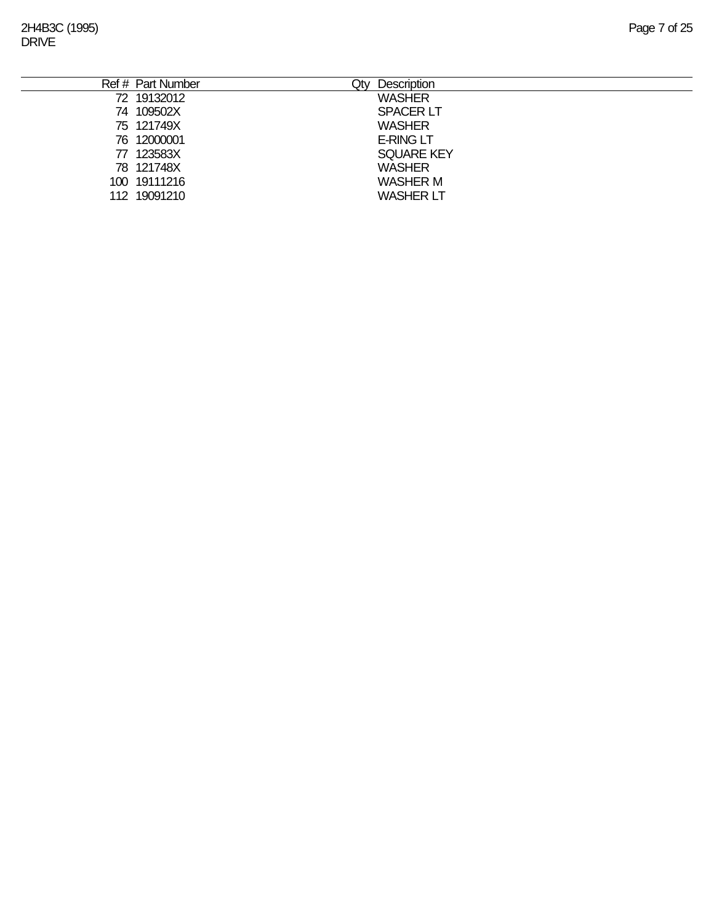2H4B3C (1995) Page 7 of 25 DRIVE

| Ref # Part Number | Qty | Description       |
|-------------------|-----|-------------------|
| 72 19132012       |     | <b>WASHER</b>     |
| 74 109502X        |     | <b>SPACER LT</b>  |
| 75 121749X        |     | <b>WASHER</b>     |
| 76 12000001       |     | <b>E-RING LT</b>  |
| 77 123583X        |     | <b>SQUARE KEY</b> |
| 78 121748X        |     | <b>WASHER</b>     |
| 100 19111216      |     | <b>WASHER M</b>   |
| 112 19091210      |     | <b>WASHER LT</b>  |
|                   |     |                   |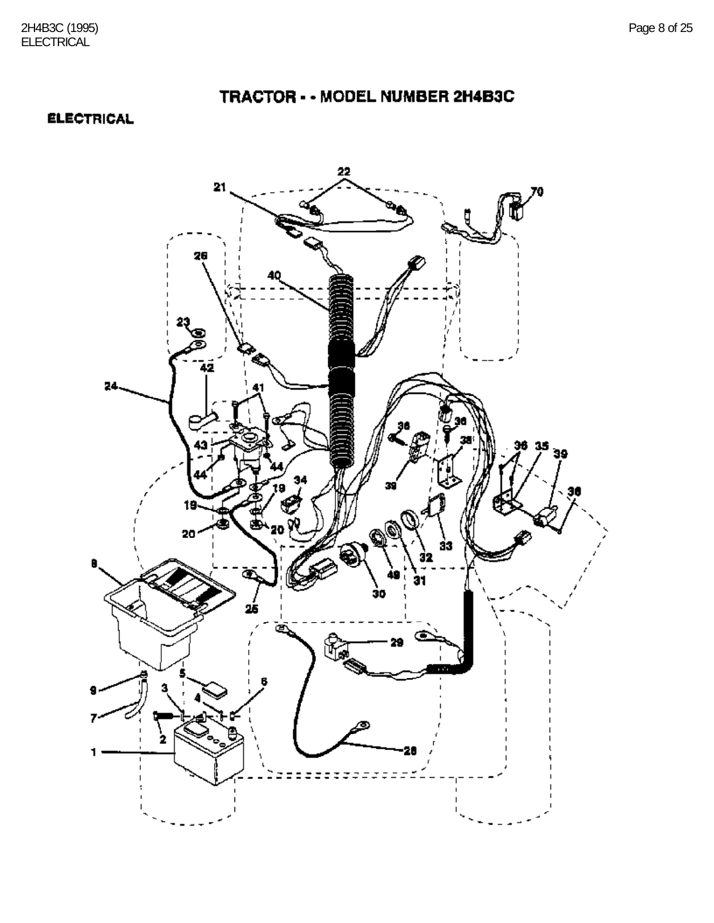### **ELECTRICAL**

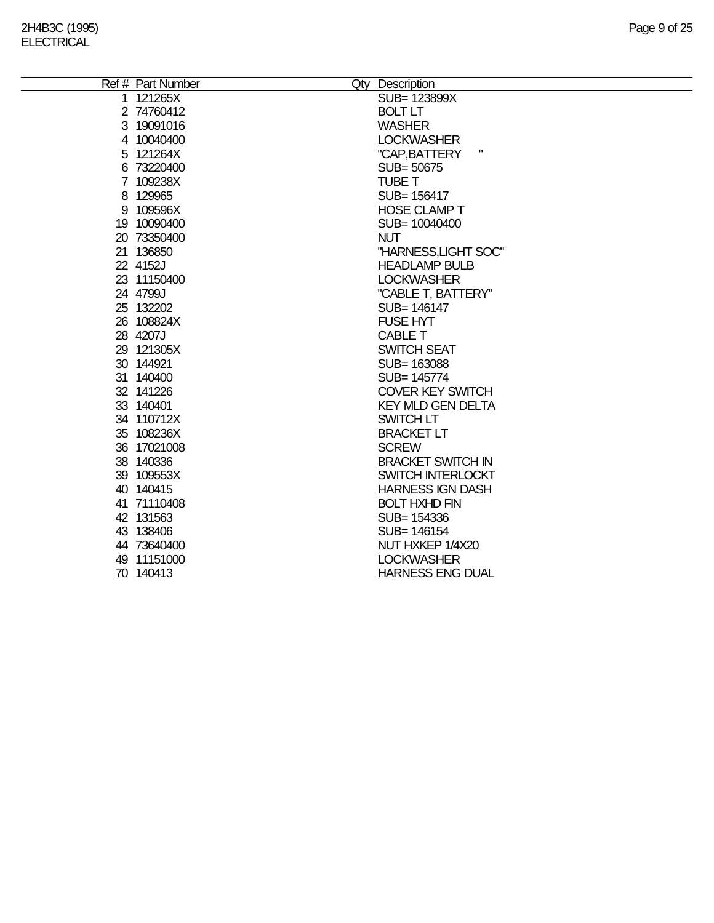| Ref # Part Number | Qty Description          |
|-------------------|--------------------------|
| 1 121265X         | SUB= 123899X             |
| 2 74760412        | <b>BOLT LT</b>           |
| 3 19091016        | <b>WASHER</b>            |
| 4 10040400        | <b>LOCKWASHER</b>        |
| 5 121264X         | П<br>"CAP, BATTERY       |
| 6 73220400        | SUB=50675                |
| 7 109238X         | <b>TUBE T</b>            |
| 8 129965          | SUB= 156417              |
| 9 109596X         | <b>HOSE CLAMP T</b>      |
| 19 10090400       | SUB= 10040400            |
| 20 73350400       | <b>NUT</b>               |
| 21 136850         | "HARNESS, LIGHT SOC"     |
| 22 4152J          | <b>HEADLAMP BULB</b>     |
| 23 11150400       | <b>LOCKWASHER</b>        |
| 24 4799J          | "CABLE T, BATTERY"       |
| 25 132202         | SUB= 146147              |
| 26 108824X        | <b>FUSE HYT</b>          |
| 28 4207J          | <b>CABLE T</b>           |
| 29 121305X        | <b>SWITCH SEAT</b>       |
| 30 144921         | SUB= 163088              |
| 31 140400         | SUB= 145774              |
| 32 141226         | <b>COVER KEY SWITCH</b>  |
| 33 140401         | <b>KEY MLD GEN DELTA</b> |
| 34 110712X        | <b>SWITCH LT</b>         |
| 35 108236X        | <b>BRACKET LT</b>        |
| 36 17021008       | <b>SCREW</b>             |
| 38 140336         | <b>BRACKET SWITCH IN</b> |
| 39 109553X        | SWITCH INTERLOCKT        |
| 40 140415         | <b>HARNESS IGN DASH</b>  |
| 41 71110408       | <b>BOLT HXHD FIN</b>     |
| 42 131563         | SUB= 154336              |
| 43 138406         | SUB= 146154              |
| 44 73640400       | NUT HXKEP 1/4X20         |
| 49 11151000       | <b>LOCKWASHER</b>        |
| 70 140413         | <b>HARNESS ENG DUAL</b>  |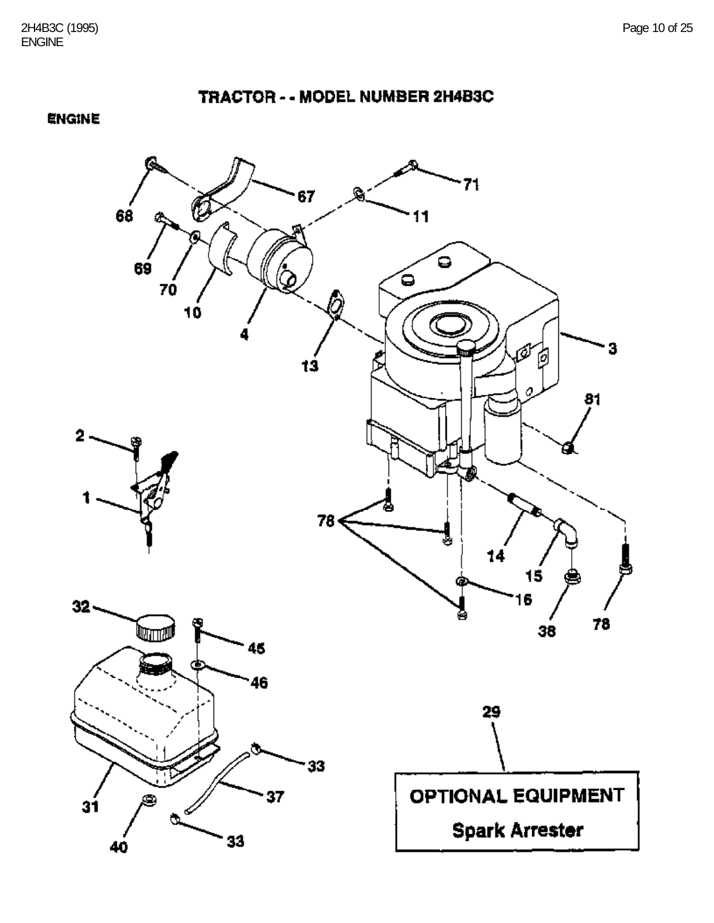TRACTOR - - MODEL NUMBER 2H4B3C

**ENGINE** 

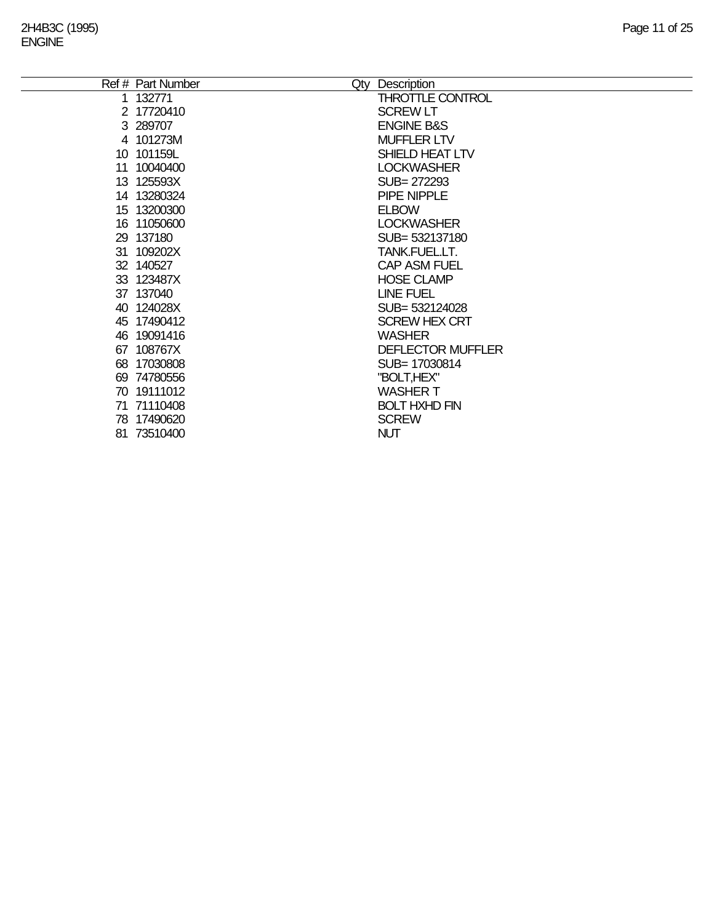|    | Ref # Part Number | Qty        | Description              |
|----|-------------------|------------|--------------------------|
|    | 1 132771          |            | THROTTLE CONTROL         |
|    | 2 17720410        |            | <b>SCREW LT</b>          |
|    | 3 289707          |            | <b>ENGINE B&amp;S</b>    |
|    | 4 101273M         |            | <b>MUFFLER LTV</b>       |
|    | 10 101159L        |            | SHIELD HEAT LTV          |
|    | 11 10040400       |            | <b>LOCKWASHER</b>        |
|    | 13 125593X        |            | SUB= 272293              |
|    | 14 13280324       |            | PIPE NIPPLE              |
|    | 15 13200300       |            | <b>ELBOW</b>             |
|    | 16 11050600       |            | <b>LOCKWASHER</b>        |
|    | 29 137180         |            | SUB= 532137180           |
| 31 | 109202X           |            | TANK.FUEL.LT.            |
|    | 32 140527         |            | <b>CAP ASM FUEL</b>      |
|    | 33 123487X        |            | <b>HOSE CLAMP</b>        |
|    | 37 137040         |            | <b>LINE FUEL</b>         |
|    | 40 124028X        |            | SUB= 532124028           |
|    | 45 17490412       |            | <b>SCREW HEX CRT</b>     |
|    | 46 19091416       |            | <b>WASHER</b>            |
|    | 67 108767X        |            | <b>DEFLECTOR MUFFLER</b> |
|    | 68 17030808       |            | SUB=17030814             |
|    | 69 74780556       |            | "BOLT,HEX"               |
|    | 70 19111012       |            | <b>WASHER T</b>          |
|    | 71 71110408       |            | <b>BOLT HXHD FIN</b>     |
|    | 78 17490620       |            | <b>SCREW</b>             |
|    | 81 73510400       | <b>NUT</b> |                          |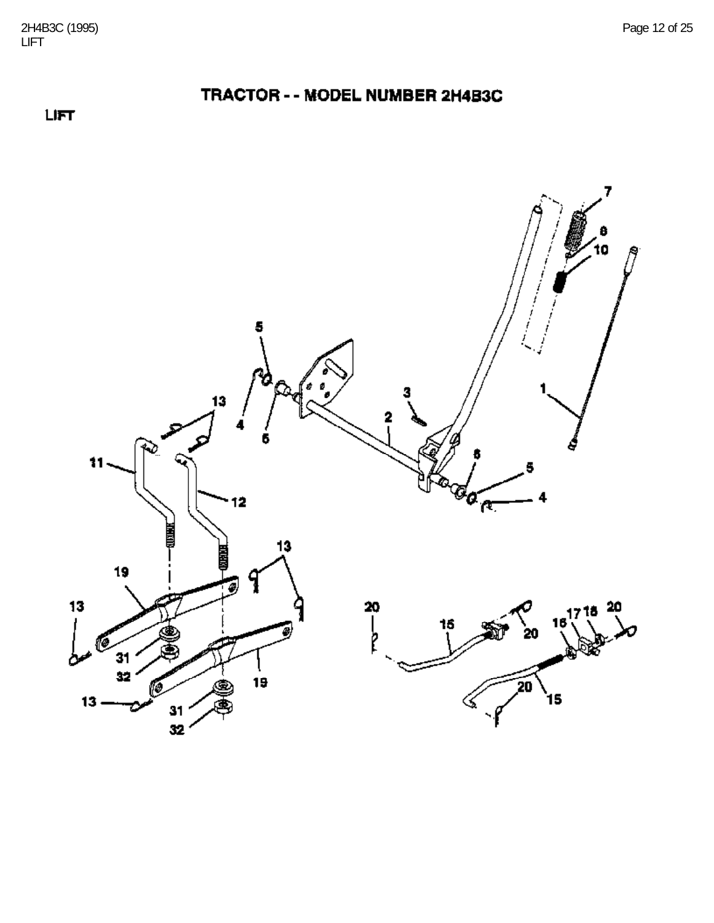



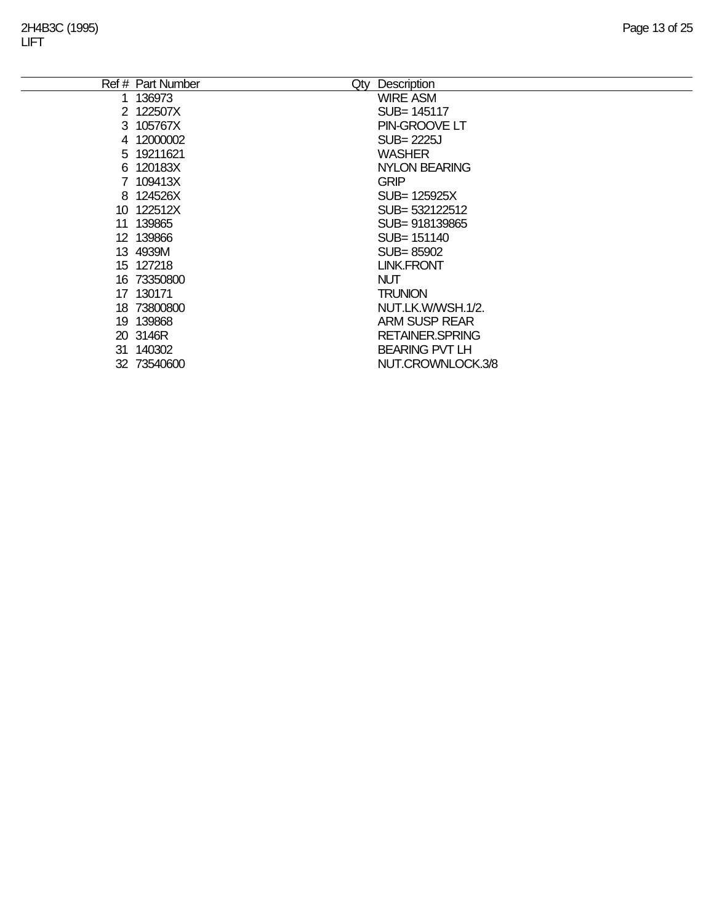|    | Ref # Part Number<br>Qty | Description            |
|----|--------------------------|------------------------|
|    | 136973                   | <b>WIRE ASM</b>        |
|    | 2 122507X                | SUB= 145117            |
|    | 3 105767X                | PIN-GROOVE LT          |
|    | 4 12000002               | SUB= 2225J             |
|    | 5 19211621               | <b>WASHER</b>          |
|    | 6 120183X                | <b>NYLON BEARING</b>   |
|    | 7 109413X                | <b>GRIP</b>            |
|    | 8 124526X                | SUB= 125925X           |
|    | 10 122512X               | SUB= 532122512         |
| 11 | 139865                   | SUB=918139865          |
|    | 12 139866                | SUB= 151140            |
|    | 13 4939M                 | SUB=85902              |
|    | 15 127218                | <b>LINK.FRONT</b>      |
|    | 16 73350800              | <b>NUT</b>             |
|    | 17 130171                | <b>TRUNION</b>         |
|    | 18 73800800              | NUT.LK.W/WSH.1/2.      |
|    | 19 139868                | <b>ARM SUSP REAR</b>   |
|    | 20 3146R                 | <b>RETAINER.SPRING</b> |
|    | 31 140302                | <b>BEARING PVT LH</b>  |
|    | 32 73540600              | NUT.CROWNLOCK.3/8      |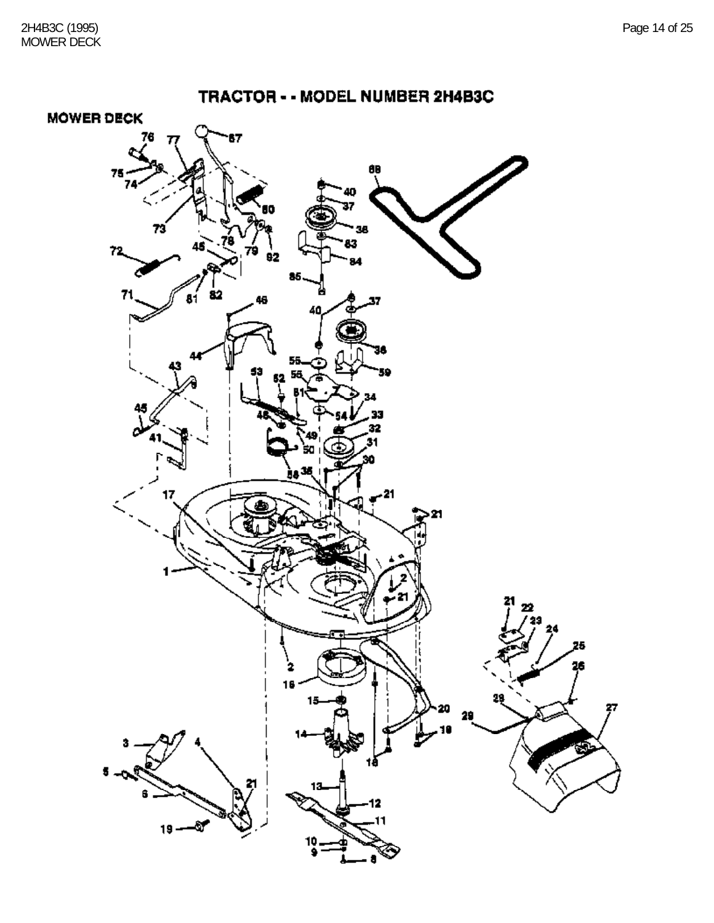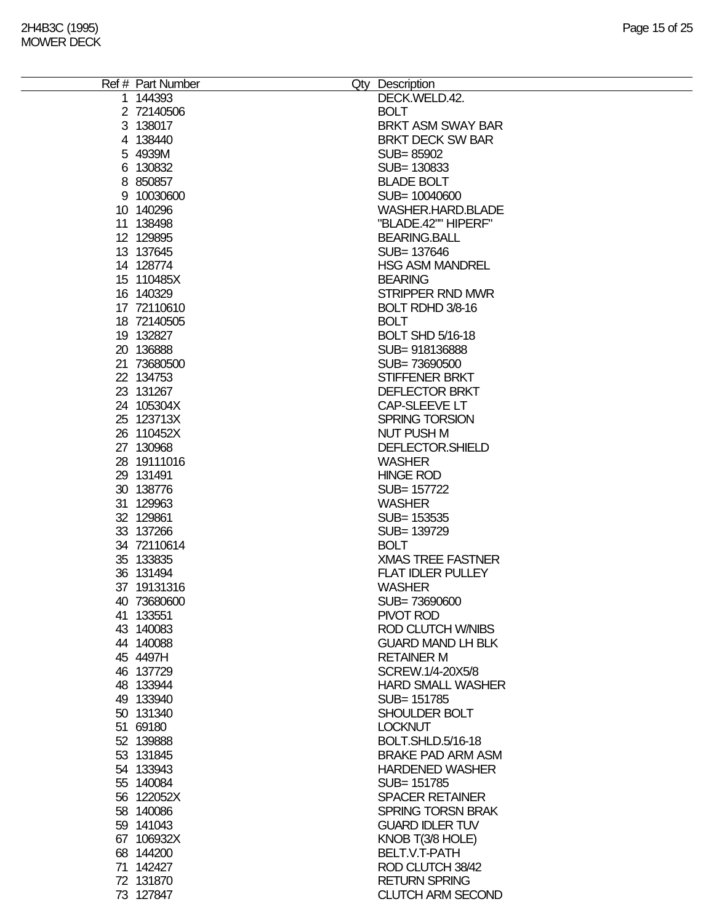| Ref # Part Number | Qty Description          |
|-------------------|--------------------------|
| 1 144393          | DECK.WELD.42.            |
| 2 72140506        | <b>BOLT</b>              |
| 3 138017          | BRKT ASM SWAY BAR        |
|                   |                          |
| 4 138440          | <b>BRKT DECK SW BAR</b>  |
| 5 4939M           | SUB=85902                |
| 6 130832          | SUB= 130833              |
| 8 850857          | <b>BLADE BOLT</b>        |
| 9 10030600        | SUB= 10040600            |
|                   |                          |
| 10 140296         | WASHER.HARD.BLADE        |
| 11 138498         | "BLADE.42"" HIPERF"      |
| 12 129895         | <b>BEARING.BALL</b>      |
| 13 137645         | SUB= 137646              |
| 14 128774         | <b>HSG ASM MANDREL</b>   |
|                   |                          |
| 15 110485X        | <b>BEARING</b>           |
| 16 140329         | STRIPPER RND MWR         |
| 17 72110610       | BOLT RDHD 3/8-16         |
| 18 72140505       | <b>BOLT</b>              |
| 19 132827         | <b>BOLT SHD 5/16-18</b>  |
| 20 136888         | SUB=918136888            |
|                   |                          |
| 21 73680500       | SUB=73690500             |
| 22 134753         | STIFFENER BRKT           |
| 23 131267         | <b>DEFLECTOR BRKT</b>    |
| 24 105304X        | CAP-SLEEVE LT            |
| 25 123713X        | <b>SPRING TORSION</b>    |
|                   |                          |
| 26 110452X        | <b>NUT PUSH M</b>        |
| 27 130968         | DEFLECTOR.SHIELD         |
| 28 19111016       | <b>WASHER</b>            |
| 29 131491         | <b>HINGE ROD</b>         |
| 30 138776         | SUB= 157722              |
|                   |                          |
| 31 129963         | <b>WASHER</b>            |
| 32 129861         | SUB= 153535              |
| 33 137266         | SUB= 139729              |
| 34 72110614       | <b>BOLT</b>              |
| 35 133835         | <b>XMAS TREE FASTNER</b> |
| 36 131494         | <b>FLAT IDLER PULLEY</b> |
|                   |                          |
| 37 19131316       | <b>WASHER</b>            |
| 40 73680600       | SUB=73690600             |
| 41 133551         | PIVOT ROD                |
| 43 140083         | <b>ROD CLUTCH W/NIBS</b> |
| 44 140088         | <b>GUARD MAND LH BLK</b> |
| 45 4497H          | <b>RETAINER M</b>        |
|                   |                          |
| 46 137729         | SCREW.1/4-20X5/8         |
| 48 133944         | <b>HARD SMALL WASHER</b> |
| 49 133940         | SUB= 151785              |
| 50 131340         | SHOULDER BOLT            |
| 51 69180          | <b>LOCKNUT</b>           |
| 52 139888         | BOLT.SHLD.5/16-18        |
|                   |                          |
| 53 131845         | <b>BRAKE PAD ARM ASM</b> |
| 54 133943         | <b>HARDENED WASHER</b>   |
| 55 140084         | SUB= 151785              |
| 56 122052X        | <b>SPACER RETAINER</b>   |
| 58 140086         | <b>SPRING TORSN BRAK</b> |
|                   |                          |
| 59 141043         | <b>GUARD IDLER TUV</b>   |
| 67 106932X        | KNOB T(3/8 HOLE)         |
| 68 144200         | BELT.V.T-PATH            |
| 71 142427         | ROD CLUTCH 38/42         |
| 72 131870         | <b>RETURN SPRING</b>     |
|                   |                          |
| 73 127847         | <b>CLUTCH ARM SECOND</b> |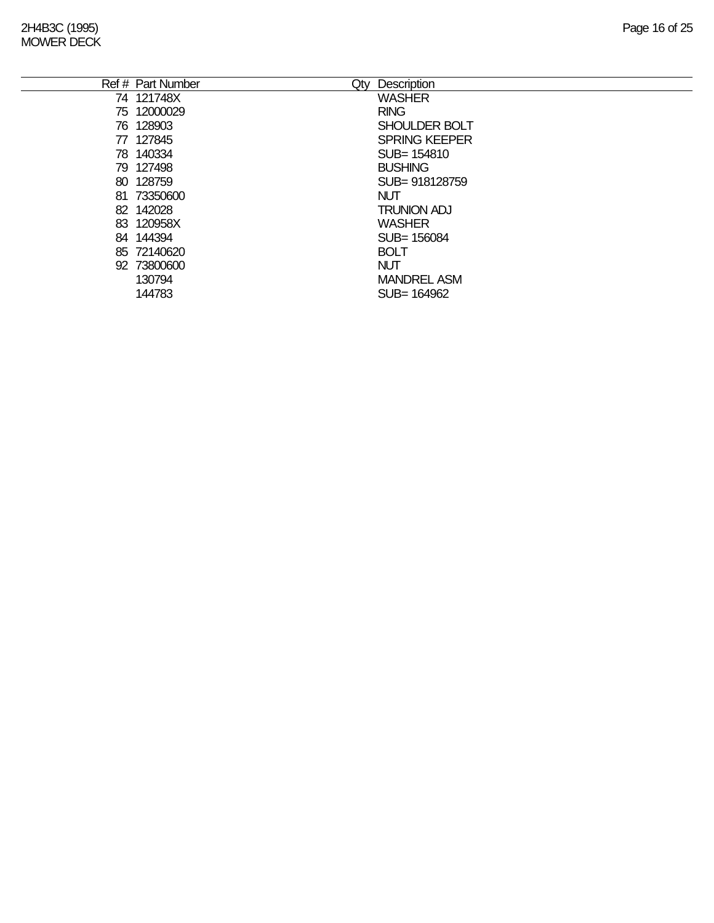|    | Ref # Part Number | Description<br>Qty   |
|----|-------------------|----------------------|
|    | 74 121748X        | <b>WASHER</b>        |
|    | 75 12000029       | <b>RING</b>          |
|    | 76 128903         | <b>SHOULDER BOLT</b> |
| 77 | 127845            | <b>SPRING KEEPER</b> |
|    | 78 140334         | SUB= 154810          |
|    | 79 127498         | <b>BUSHING</b>       |
|    | 80 128759         | SUB= 918128759       |
|    | 81 73350600       | <b>NUT</b>           |
|    | 82 142028         | <b>TRUNION ADJ</b>   |
|    | 83 120958X        | <b>WASHER</b>        |
|    | 84 144394         | SUB=156084           |
|    | 85 72140620       | <b>BOLT</b>          |
|    | 92 73800600       | <b>NUT</b>           |
|    | 130794            | <b>MANDREL ASM</b>   |
|    | 144783            | SUB= 164962          |
|    |                   |                      |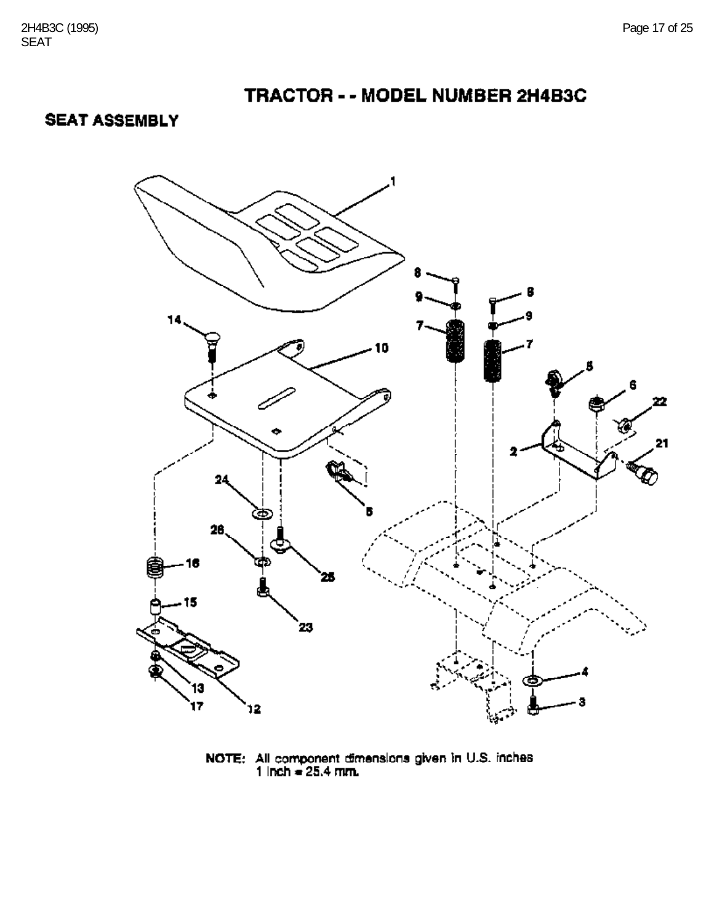## **SEAT ASSEMBLY**



**NOTE:** All component dimensions given in U.S. inches  $1$  lnch = 25.4 mm.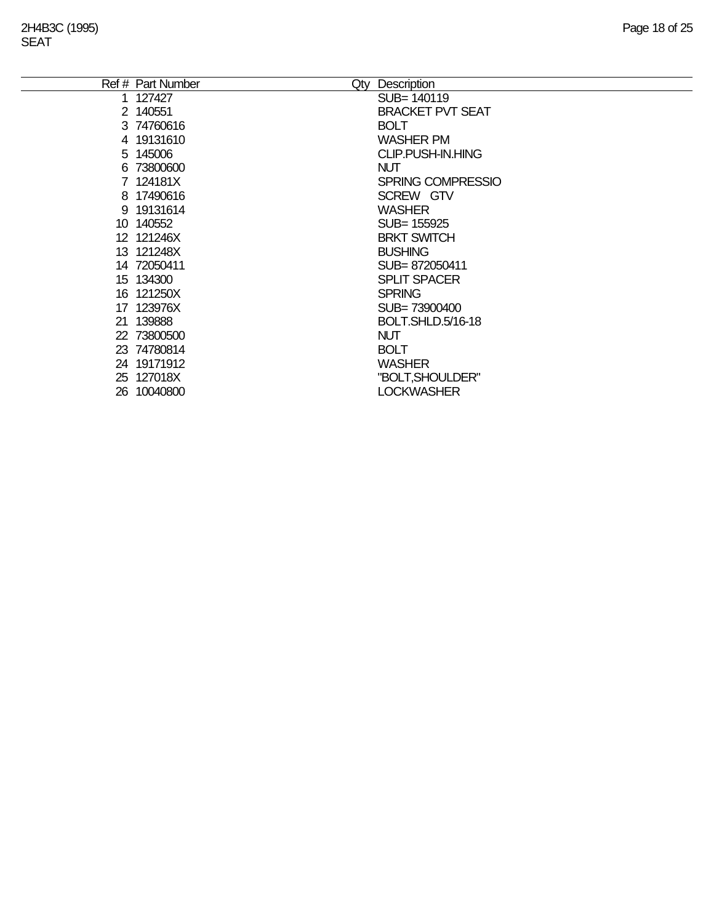| Ref # Part Number | Qty | Description              |
|-------------------|-----|--------------------------|
| 1 127427          |     | SUB= 140119              |
| 2 140551          |     | <b>BRACKET PVT SEAT</b>  |
| 3 74760616        |     | <b>BOLT</b>              |
| 4 19131610        |     | <b>WASHER PM</b>         |
| 5 145006          |     | <b>CLIP.PUSH-IN.HING</b> |
| 6 73800600        |     | <b>NUT</b>               |
| 7 124181X         |     | <b>SPRING COMPRESSIO</b> |
| 8 17490616        |     | SCREW GTV                |
| 9 19131614        |     | <b>WASHER</b>            |
| 10 140552         |     | SUB= 155925              |
| 12 121246X        |     | <b>BRKT SWITCH</b>       |
| 13 121248X        |     | <b>BUSHING</b>           |
| 14 72050411       |     | SUB=872050411            |
| 15 134300         |     | <b>SPLIT SPACER</b>      |
| 16 121250X        |     | <b>SPRING</b>            |
| 17 123976X        |     | SUB= 73900400            |
| 21 139888         |     | BOLT.SHLD.5/16-18        |
| 22 73800500       |     | <b>NUT</b>               |
| 23 74780814       |     | <b>BOLT</b>              |
| 24 19171912       |     | <b>WASHER</b>            |
| 25 127018X        |     | "BOLT, SHOULDER"         |
| 26 10040800       |     | <b>LOCKWASHER</b>        |
|                   |     |                          |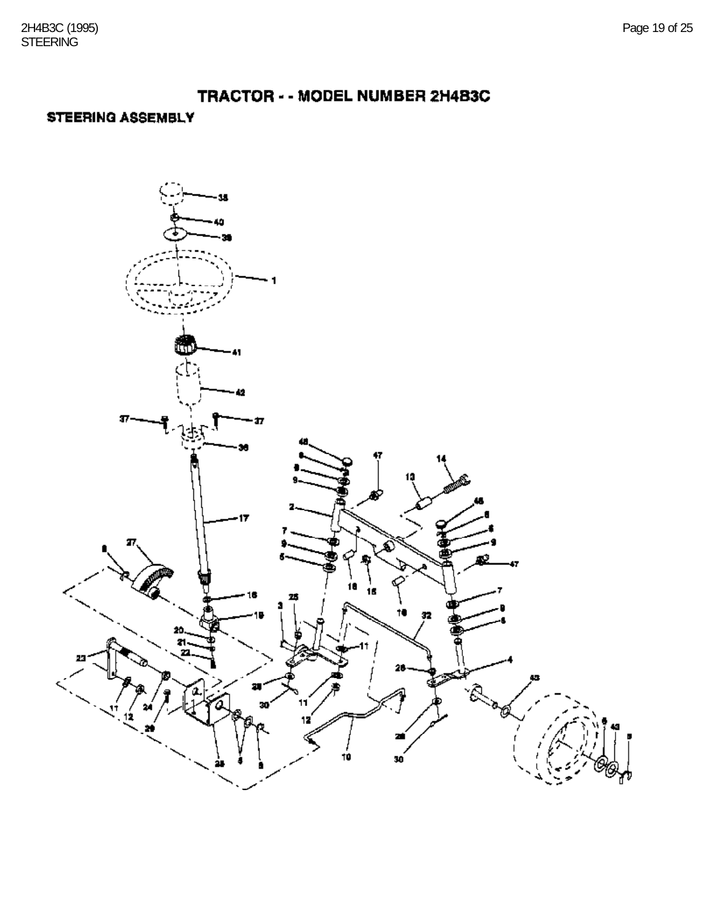### STEERING ASSEMBLY

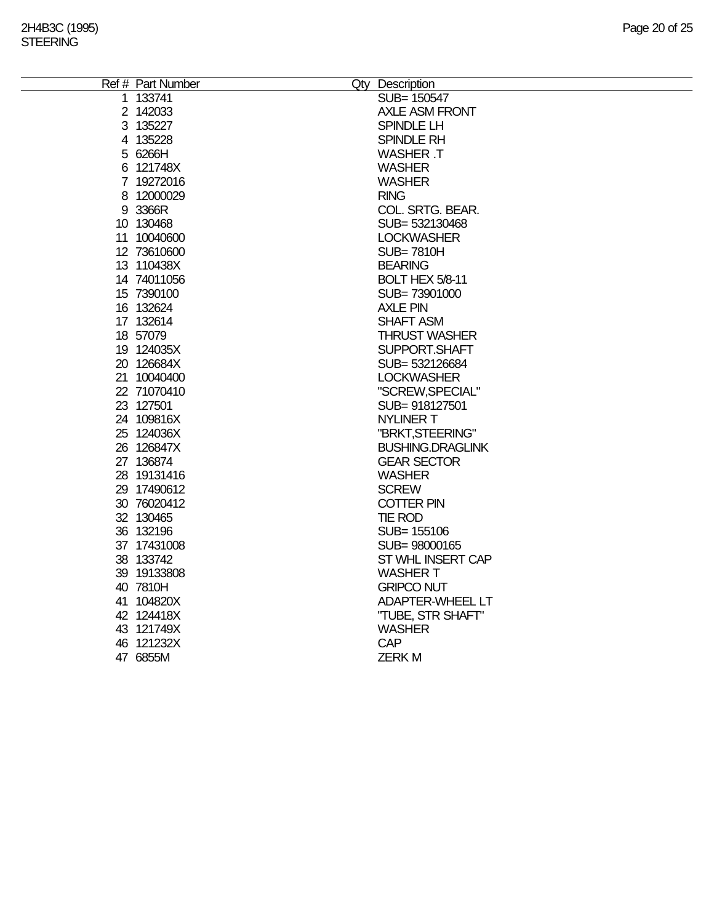| 1 133741<br>SUB= 150547<br>2 142033<br><b>AXLE ASM FRONT</b><br>3 135227<br>SPINDLE LH<br>4 135228<br>SPINDLE RH<br>5 6266H<br><b>WASHER T</b><br>6 121748X<br><b>WASHER</b><br>7 19272016<br><b>WASHER</b><br>8 12000029<br><b>RING</b><br>9 3366R<br>COL. SRTG. BEAR.<br>10 130468<br>SUB=532130468<br>11 10040600<br><b>LOCKWASHER</b><br>12 73610600<br><b>SUB=7810H</b><br>13 110438X<br><b>BEARING</b><br>14 74011056<br>BOLT HEX 5/8-11<br>15 7390100<br>SUB=73901000<br>16 132624<br><b>AXLE PIN</b><br>17 132614<br><b>SHAFT ASM</b><br>18 57079<br><b>THRUST WASHER</b><br>19 124035X<br>SUPPORT.SHAFT<br>20 126684X<br>SUB=532126684<br>21 10040400<br><b>LOCKWASHER</b><br>22 71070410<br>"SCREW, SPECIAL"<br>23 127501<br>SUB= 918127501<br>24 109816X<br><b>NYLINER T</b><br>25 124036X<br>"BRKT, STEERING"<br>26 126847X<br><b>BUSHING.DRAGLINK</b><br>27 136874<br><b>GEAR SECTOR</b><br>28 19131416<br><b>WASHER</b><br><b>SCREW</b><br>29 17490612<br>30 76020412<br>COTTER PIN<br>32 130465<br><b>TIE ROD</b><br>36 132196<br>SUB= 155106<br>37 17431008<br>SUB= 98000165<br>38 133742<br>ST WHL INSERT CAP<br>39 19133808<br><b>WASHER T</b><br>40 7810H<br><b>GRIPCO NUT</b><br>41 104820X<br><b>ADAPTER-WHEEL LT</b><br>42 124418X<br>"TUBE, STR SHAFT"<br>43 121749X<br><b>WASHER</b><br>CAP<br>46 121232X<br>47 6855M<br><b>ZERKM</b> | Ref # Part Number | Qty Description |
|---------------------------------------------------------------------------------------------------------------------------------------------------------------------------------------------------------------------------------------------------------------------------------------------------------------------------------------------------------------------------------------------------------------------------------------------------------------------------------------------------------------------------------------------------------------------------------------------------------------------------------------------------------------------------------------------------------------------------------------------------------------------------------------------------------------------------------------------------------------------------------------------------------------------------------------------------------------------------------------------------------------------------------------------------------------------------------------------------------------------------------------------------------------------------------------------------------------------------------------------------------------------------------------------------------------------------------------------------------------|-------------------|-----------------|
|                                                                                                                                                                                                                                                                                                                                                                                                                                                                                                                                                                                                                                                                                                                                                                                                                                                                                                                                                                                                                                                                                                                                                                                                                                                                                                                                                               |                   |                 |
|                                                                                                                                                                                                                                                                                                                                                                                                                                                                                                                                                                                                                                                                                                                                                                                                                                                                                                                                                                                                                                                                                                                                                                                                                                                                                                                                                               |                   |                 |
|                                                                                                                                                                                                                                                                                                                                                                                                                                                                                                                                                                                                                                                                                                                                                                                                                                                                                                                                                                                                                                                                                                                                                                                                                                                                                                                                                               |                   |                 |
|                                                                                                                                                                                                                                                                                                                                                                                                                                                                                                                                                                                                                                                                                                                                                                                                                                                                                                                                                                                                                                                                                                                                                                                                                                                                                                                                                               |                   |                 |
|                                                                                                                                                                                                                                                                                                                                                                                                                                                                                                                                                                                                                                                                                                                                                                                                                                                                                                                                                                                                                                                                                                                                                                                                                                                                                                                                                               |                   |                 |
|                                                                                                                                                                                                                                                                                                                                                                                                                                                                                                                                                                                                                                                                                                                                                                                                                                                                                                                                                                                                                                                                                                                                                                                                                                                                                                                                                               |                   |                 |
|                                                                                                                                                                                                                                                                                                                                                                                                                                                                                                                                                                                                                                                                                                                                                                                                                                                                                                                                                                                                                                                                                                                                                                                                                                                                                                                                                               |                   |                 |
|                                                                                                                                                                                                                                                                                                                                                                                                                                                                                                                                                                                                                                                                                                                                                                                                                                                                                                                                                                                                                                                                                                                                                                                                                                                                                                                                                               |                   |                 |
|                                                                                                                                                                                                                                                                                                                                                                                                                                                                                                                                                                                                                                                                                                                                                                                                                                                                                                                                                                                                                                                                                                                                                                                                                                                                                                                                                               |                   |                 |
|                                                                                                                                                                                                                                                                                                                                                                                                                                                                                                                                                                                                                                                                                                                                                                                                                                                                                                                                                                                                                                                                                                                                                                                                                                                                                                                                                               |                   |                 |
|                                                                                                                                                                                                                                                                                                                                                                                                                                                                                                                                                                                                                                                                                                                                                                                                                                                                                                                                                                                                                                                                                                                                                                                                                                                                                                                                                               |                   |                 |
|                                                                                                                                                                                                                                                                                                                                                                                                                                                                                                                                                                                                                                                                                                                                                                                                                                                                                                                                                                                                                                                                                                                                                                                                                                                                                                                                                               |                   |                 |
|                                                                                                                                                                                                                                                                                                                                                                                                                                                                                                                                                                                                                                                                                                                                                                                                                                                                                                                                                                                                                                                                                                                                                                                                                                                                                                                                                               |                   |                 |
|                                                                                                                                                                                                                                                                                                                                                                                                                                                                                                                                                                                                                                                                                                                                                                                                                                                                                                                                                                                                                                                                                                                                                                                                                                                                                                                                                               |                   |                 |
|                                                                                                                                                                                                                                                                                                                                                                                                                                                                                                                                                                                                                                                                                                                                                                                                                                                                                                                                                                                                                                                                                                                                                                                                                                                                                                                                                               |                   |                 |
|                                                                                                                                                                                                                                                                                                                                                                                                                                                                                                                                                                                                                                                                                                                                                                                                                                                                                                                                                                                                                                                                                                                                                                                                                                                                                                                                                               |                   |                 |
|                                                                                                                                                                                                                                                                                                                                                                                                                                                                                                                                                                                                                                                                                                                                                                                                                                                                                                                                                                                                                                                                                                                                                                                                                                                                                                                                                               |                   |                 |
|                                                                                                                                                                                                                                                                                                                                                                                                                                                                                                                                                                                                                                                                                                                                                                                                                                                                                                                                                                                                                                                                                                                                                                                                                                                                                                                                                               |                   |                 |
|                                                                                                                                                                                                                                                                                                                                                                                                                                                                                                                                                                                                                                                                                                                                                                                                                                                                                                                                                                                                                                                                                                                                                                                                                                                                                                                                                               |                   |                 |
|                                                                                                                                                                                                                                                                                                                                                                                                                                                                                                                                                                                                                                                                                                                                                                                                                                                                                                                                                                                                                                                                                                                                                                                                                                                                                                                                                               |                   |                 |
|                                                                                                                                                                                                                                                                                                                                                                                                                                                                                                                                                                                                                                                                                                                                                                                                                                                                                                                                                                                                                                                                                                                                                                                                                                                                                                                                                               |                   |                 |
|                                                                                                                                                                                                                                                                                                                                                                                                                                                                                                                                                                                                                                                                                                                                                                                                                                                                                                                                                                                                                                                                                                                                                                                                                                                                                                                                                               |                   |                 |
|                                                                                                                                                                                                                                                                                                                                                                                                                                                                                                                                                                                                                                                                                                                                                                                                                                                                                                                                                                                                                                                                                                                                                                                                                                                                                                                                                               |                   |                 |
|                                                                                                                                                                                                                                                                                                                                                                                                                                                                                                                                                                                                                                                                                                                                                                                                                                                                                                                                                                                                                                                                                                                                                                                                                                                                                                                                                               |                   |                 |
|                                                                                                                                                                                                                                                                                                                                                                                                                                                                                                                                                                                                                                                                                                                                                                                                                                                                                                                                                                                                                                                                                                                                                                                                                                                                                                                                                               |                   |                 |
|                                                                                                                                                                                                                                                                                                                                                                                                                                                                                                                                                                                                                                                                                                                                                                                                                                                                                                                                                                                                                                                                                                                                                                                                                                                                                                                                                               |                   |                 |
|                                                                                                                                                                                                                                                                                                                                                                                                                                                                                                                                                                                                                                                                                                                                                                                                                                                                                                                                                                                                                                                                                                                                                                                                                                                                                                                                                               |                   |                 |
|                                                                                                                                                                                                                                                                                                                                                                                                                                                                                                                                                                                                                                                                                                                                                                                                                                                                                                                                                                                                                                                                                                                                                                                                                                                                                                                                                               |                   |                 |
|                                                                                                                                                                                                                                                                                                                                                                                                                                                                                                                                                                                                                                                                                                                                                                                                                                                                                                                                                                                                                                                                                                                                                                                                                                                                                                                                                               |                   |                 |
|                                                                                                                                                                                                                                                                                                                                                                                                                                                                                                                                                                                                                                                                                                                                                                                                                                                                                                                                                                                                                                                                                                                                                                                                                                                                                                                                                               |                   |                 |
|                                                                                                                                                                                                                                                                                                                                                                                                                                                                                                                                                                                                                                                                                                                                                                                                                                                                                                                                                                                                                                                                                                                                                                                                                                                                                                                                                               |                   |                 |
|                                                                                                                                                                                                                                                                                                                                                                                                                                                                                                                                                                                                                                                                                                                                                                                                                                                                                                                                                                                                                                                                                                                                                                                                                                                                                                                                                               |                   |                 |
|                                                                                                                                                                                                                                                                                                                                                                                                                                                                                                                                                                                                                                                                                                                                                                                                                                                                                                                                                                                                                                                                                                                                                                                                                                                                                                                                                               |                   |                 |
|                                                                                                                                                                                                                                                                                                                                                                                                                                                                                                                                                                                                                                                                                                                                                                                                                                                                                                                                                                                                                                                                                                                                                                                                                                                                                                                                                               |                   |                 |
|                                                                                                                                                                                                                                                                                                                                                                                                                                                                                                                                                                                                                                                                                                                                                                                                                                                                                                                                                                                                                                                                                                                                                                                                                                                                                                                                                               |                   |                 |
|                                                                                                                                                                                                                                                                                                                                                                                                                                                                                                                                                                                                                                                                                                                                                                                                                                                                                                                                                                                                                                                                                                                                                                                                                                                                                                                                                               |                   |                 |
|                                                                                                                                                                                                                                                                                                                                                                                                                                                                                                                                                                                                                                                                                                                                                                                                                                                                                                                                                                                                                                                                                                                                                                                                                                                                                                                                                               |                   |                 |
|                                                                                                                                                                                                                                                                                                                                                                                                                                                                                                                                                                                                                                                                                                                                                                                                                                                                                                                                                                                                                                                                                                                                                                                                                                                                                                                                                               |                   |                 |
|                                                                                                                                                                                                                                                                                                                                                                                                                                                                                                                                                                                                                                                                                                                                                                                                                                                                                                                                                                                                                                                                                                                                                                                                                                                                                                                                                               |                   |                 |
|                                                                                                                                                                                                                                                                                                                                                                                                                                                                                                                                                                                                                                                                                                                                                                                                                                                                                                                                                                                                                                                                                                                                                                                                                                                                                                                                                               |                   |                 |
|                                                                                                                                                                                                                                                                                                                                                                                                                                                                                                                                                                                                                                                                                                                                                                                                                                                                                                                                                                                                                                                                                                                                                                                                                                                                                                                                                               |                   |                 |
|                                                                                                                                                                                                                                                                                                                                                                                                                                                                                                                                                                                                                                                                                                                                                                                                                                                                                                                                                                                                                                                                                                                                                                                                                                                                                                                                                               |                   |                 |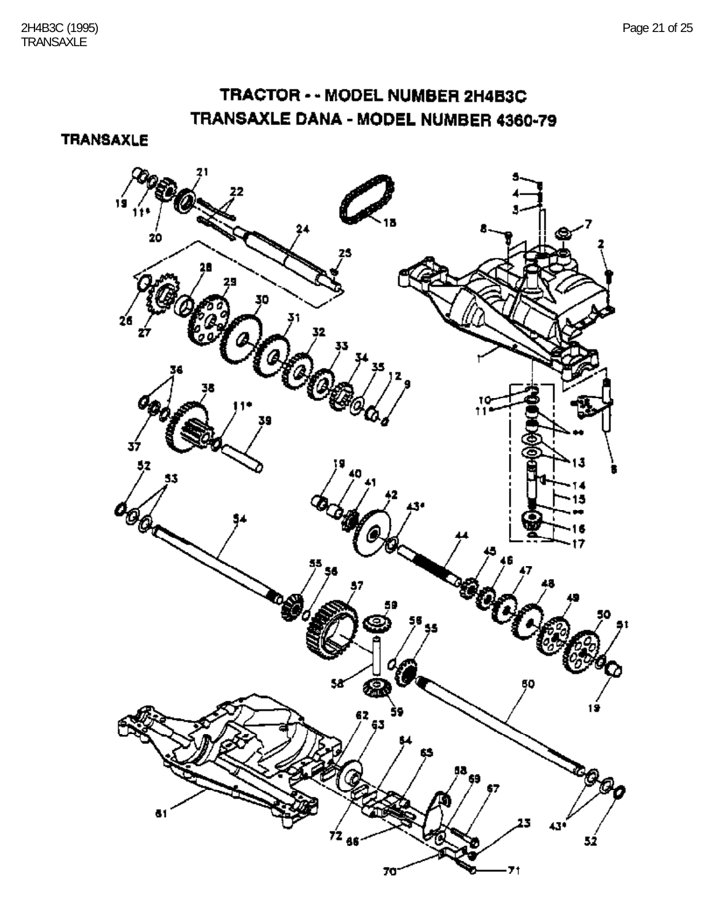# TRACTOR - - MODEL NUMBER 2H4B3C TRANSAXLE DANA - MODEL NUMBER 4360-79

**TRANSAXLE** 

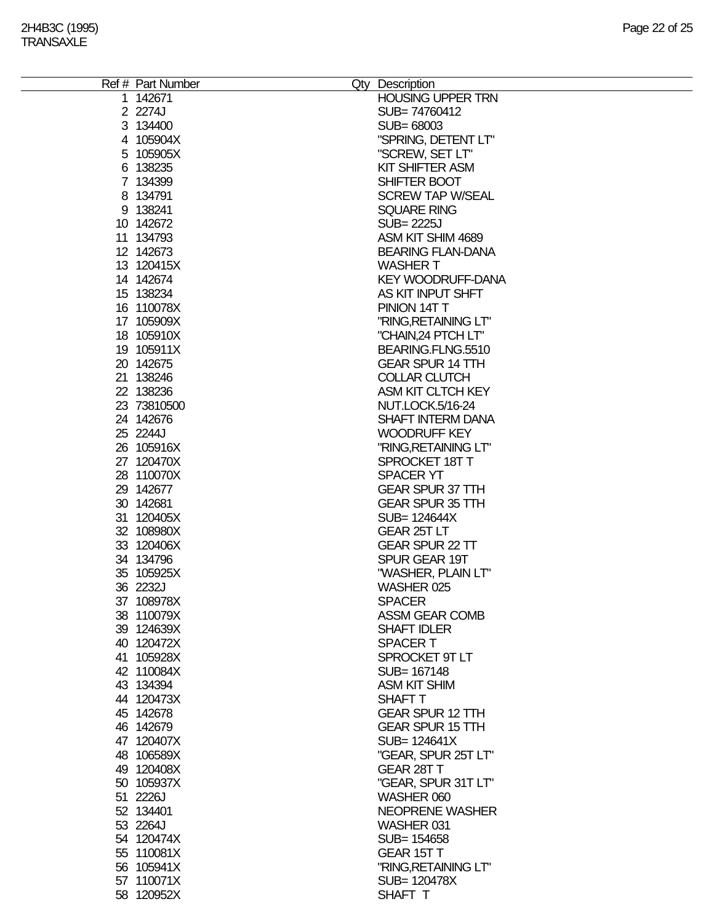|  | Ref # Part Number<br>1 142671 | Qty Description<br><b>HOUSING UPPER TRN</b> |
|--|-------------------------------|---------------------------------------------|
|  | 2 2274J                       | SUB=74760412                                |
|  | 3 134400                      | SUB= 68003                                  |
|  | 4 105904X                     | "SPRING, DETENT LT"                         |
|  |                               | "SCREW, SET LT"                             |
|  | 5 105905X                     |                                             |
|  | 6 138235                      | <b>KIT SHIFTER ASM</b>                      |
|  | 7 134399                      | SHIFTER BOOT                                |
|  | 8 134791                      | <b>SCREW TAP W/SEAL</b>                     |
|  | 9 138241                      | <b>SQUARE RING</b>                          |
|  | 10 142672                     | <b>SUB=2225J</b>                            |
|  | 11 134793                     | ASM KIT SHIM 4689                           |
|  | 12 142673                     | <b>BEARING FLAN-DANA</b>                    |
|  | 13 120415X<br>14 142674       | <b>WASHER T</b><br><b>KEY WOODRUFF-DANA</b> |
|  | 15 138234                     | AS KIT INPUT SHFT                           |
|  | 16 110078X                    | PINION 14T T                                |
|  | 17 105909X                    | "RING, RETAINING LT"                        |
|  | 18 105910X                    | "CHAIN,24 PTCH LT"                          |
|  | 19 105911X                    | BEARING.FLNG.5510                           |
|  | 20 142675                     | <b>GEAR SPUR 14 TTH</b>                     |
|  | 21 138246                     | <b>COLLAR CLUTCH</b>                        |
|  | 22 138236                     | ASM KIT CLTCH KEY                           |
|  | 23 73810500                   | <b>NUT.LOCK.5/16-24</b>                     |
|  | 24 142676                     | <b>SHAFT INTERM DANA</b>                    |
|  | 25 2244J                      | <b>WOODRUFF KEY</b>                         |
|  | 26 105916X                    | "RING, RETAINING LT"                        |
|  | 27 120470X                    | SPROCKET 18T T                              |
|  | 28 110070X                    | <b>SPACER YT</b>                            |
|  | 29 142677                     | <b>GEAR SPUR 37 TTH</b>                     |
|  | 30 142681                     | <b>GEAR SPUR 35 TTH</b>                     |
|  | 31 120405X                    | SUB= 124644X                                |
|  | 32 108980X                    | GEAR 25T LT                                 |
|  | 33 120406X                    | <b>GEAR SPUR 22 TT</b>                      |
|  | 34 134796                     | SPUR GEAR 19T                               |
|  | 35 105925X                    | "WASHER, PLAIN LT"                          |
|  | 36 2232J                      | WASHER 025                                  |
|  | 37 108978X                    | <b>SPACER</b>                               |
|  | 38 110079X                    | <b>ASSM GEAR COMB</b>                       |
|  | 39 124639X                    | <b>SHAFT IDLER</b>                          |
|  | 40 120472X                    | <b>SPACERT</b>                              |
|  | 41 105928X                    | SPROCKET 9T LT                              |
|  | 42 110084X                    | SUB= 167148                                 |
|  | 43 134394                     | <b>ASM KIT SHIM</b>                         |
|  | 44 120473X                    | <b>SHAFT T</b>                              |
|  | 45 142678                     | <b>GEAR SPUR 12 TTH</b>                     |
|  | 46 142679                     | <b>GEAR SPUR 15 TTH</b>                     |
|  | 47 120407X                    | SUB= 124641X                                |
|  | 48 106589X                    | "GEAR, SPUR 25T LT"                         |
|  | 49 120408X                    | GEAR 28T T                                  |
|  | 50 105937X                    | "GEAR, SPUR 31T LT"                         |
|  | 51 2226J                      | WASHER 060                                  |
|  | 52 134401                     | <b>NEOPRENE WASHER</b>                      |
|  | 53 2264J                      | WASHER 031                                  |
|  | 54 120474X                    | SUB= 154658                                 |
|  | 55 110081X                    | <b>GEAR 15T T</b>                           |
|  | 56 105941X                    | "RING, RETAINING LT"                        |
|  | 57 110071X                    | SUB= 120478X                                |
|  | 58 120952X                    | SHAFT T                                     |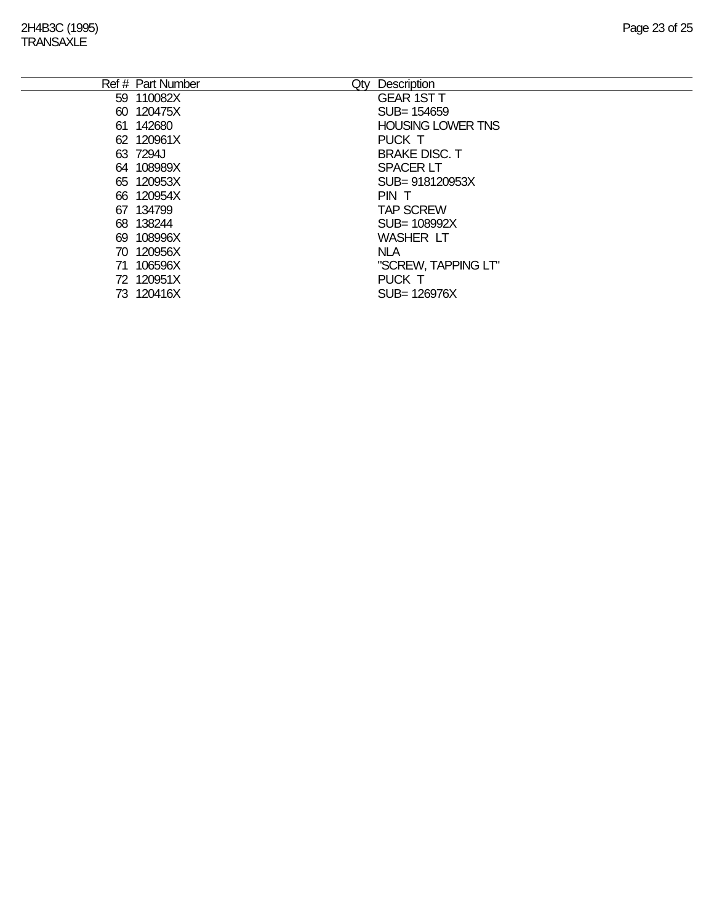|    | Ref # Part Number<br>Qty | Description              |
|----|--------------------------|--------------------------|
|    | 59 110082X               | <b>GEAR 1ST T</b>        |
|    | 60 120475X               | SUB= 154659              |
|    | 61 142680                | <b>HOUSING LOWER TNS</b> |
|    | 62 120961X               | PUCK T                   |
|    | 63 7294J                 | <b>BRAKE DISC. T</b>     |
|    | 64 108989X               | <b>SPACER LT</b>         |
|    | 65 120953X               | SUB= 918120953X          |
|    | 66 120954X               | PIN T                    |
|    | 67 134799                | <b>TAP SCREW</b>         |
|    | 68 138244                | SUB= 108992X             |
|    | 69 108996X               | <b>WASHER LT</b>         |
|    | 70 120956X               | <b>NLA</b>               |
| 71 | 106596X                  | "SCREW, TAPPING LT"      |
|    | 72 120951X               | PUCK T                   |
|    | 73 120416X               | SUB= 126976X             |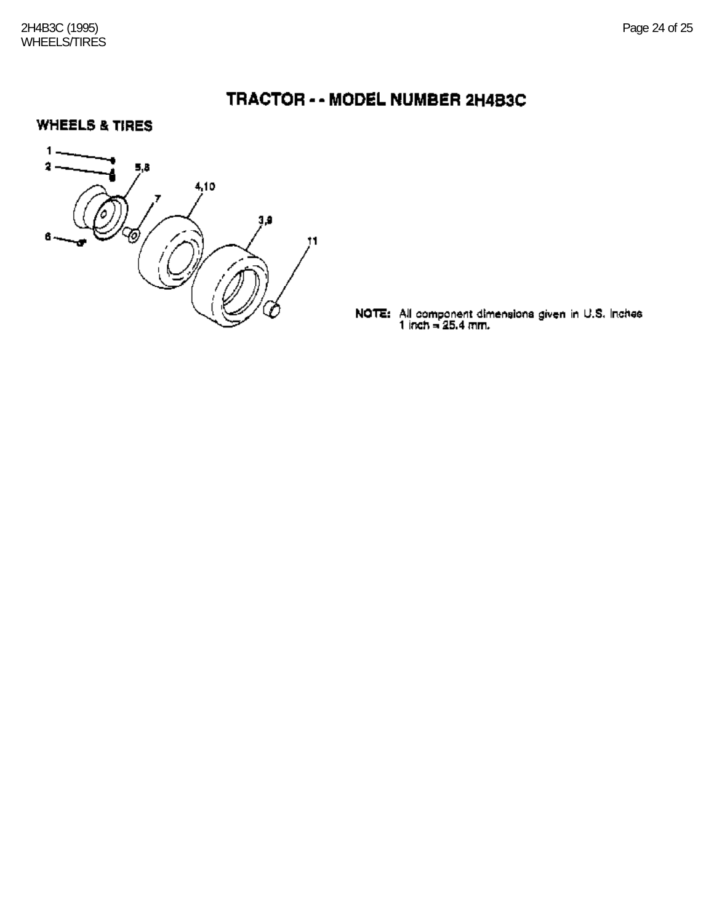**WHEELS & TIRES** 



**NOTE:** All component dimensions given in U.S. Inches 1 inch =  $25.4$  mm.